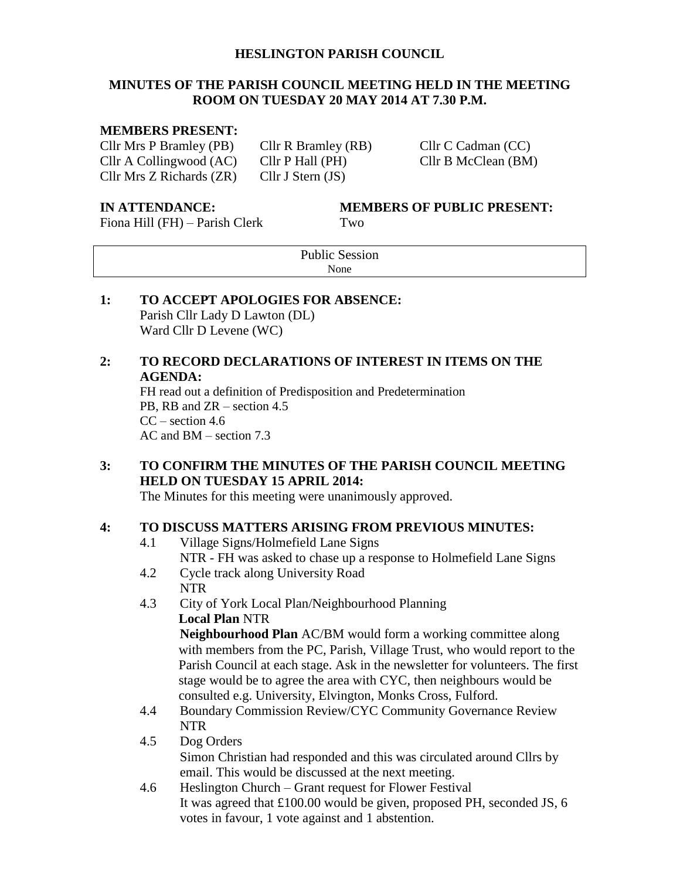#### **HESLINGTON PARISH COUNCIL**

#### **MINUTES OF THE PARISH COUNCIL MEETING HELD IN THE MEETING ROOM ON TUESDAY 20 MAY 2014 AT 7.30 P.M.**

#### **MEMBERS PRESENT:**

Cllr Mrs P Bramley (PB) Cllr R Bramley (RB) Cllr C Cadman (CC) Cllr A Collingwood (AC) Cllr P Hall (PH) Cllr B McClean (BM) Cllr Mrs Z Richards (ZR) Cllr J Stern (JS)

Fiona Hill (FH) – Parish Clerk Two

#### **IN ATTENDANCE: MEMBERS OF PUBLIC PRESENT:**

Public Session None

**1: TO ACCEPT APOLOGIES FOR ABSENCE:** Parish Cllr Lady D Lawton (DL) Ward Cllr D Levene (WC)

#### **2: TO RECORD DECLARATIONS OF INTEREST IN ITEMS ON THE AGENDA:**

FH read out a definition of Predisposition and Predetermination PB, RB and ZR – section 4.5  $CC -$  section 4.6 AC and BM – section 7.3

## **3: TO CONFIRM THE MINUTES OF THE PARISH COUNCIL MEETING HELD ON TUESDAY 15 APRIL 2014:**

The Minutes for this meeting were unanimously approved.

#### **4: TO DISCUSS MATTERS ARISING FROM PREVIOUS MINUTES:**

- 4.1 Village Signs/Holmefield Lane Signs NTR - FH was asked to chase up a response to Holmefield Lane Signs
- 4.2 Cycle track along University Road NTR
- 4.3 City of York Local Plan/Neighbourhood Planning **Local Plan** NTR

**Neighbourhood Plan** AC/BM would form a working committee along with members from the PC, Parish, Village Trust, who would report to the Parish Council at each stage. Ask in the newsletter for volunteers. The first stage would be to agree the area with CYC, then neighbours would be consulted e.g. University, Elvington, Monks Cross, Fulford.

- 4.4 Boundary Commission Review/CYC Community Governance Review NTR
- 4.5 Dog Orders

Simon Christian had responded and this was circulated around Cllrs by email. This would be discussed at the next meeting.

4.6 Heslington Church – Grant request for Flower Festival It was agreed that £100.00 would be given, proposed PH, seconded JS, 6 votes in favour, 1 vote against and 1 abstention.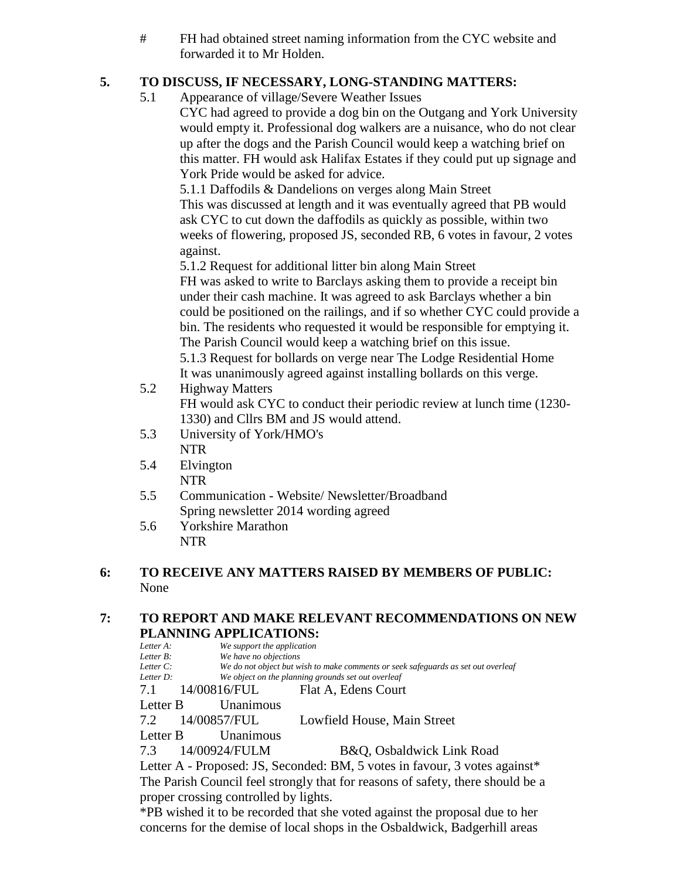# FH had obtained street naming information from the CYC website and forwarded it to Mr Holden.

### **5. TO DISCUSS, IF NECESSARY, LONG-STANDING MATTERS:**

5.1 Appearance of village/Severe Weather Issues

CYC had agreed to provide a dog bin on the Outgang and York University would empty it. Professional dog walkers are a nuisance, who do not clear up after the dogs and the Parish Council would keep a watching brief on this matter. FH would ask Halifax Estates if they could put up signage and York Pride would be asked for advice.

5.1.1 Daffodils & Dandelions on verges along Main Street This was discussed at length and it was eventually agreed that PB would ask CYC to cut down the daffodils as quickly as possible, within two weeks of flowering, proposed JS, seconded RB, 6 votes in favour, 2 votes against.

5.1.2 Request for additional litter bin along Main Street

FH was asked to write to Barclays asking them to provide a receipt bin under their cash machine. It was agreed to ask Barclays whether a bin could be positioned on the railings, and if so whether CYC could provide a bin. The residents who requested it would be responsible for emptying it. The Parish Council would keep a watching brief on this issue. 5.1.3 Request for bollards on verge near The Lodge Residential Home

It was unanimously agreed against installing bollards on this verge.

5.2 Highway Matters

FH would ask CYC to conduct their periodic review at lunch time (1230- 1330) and Cllrs BM and JS would attend.

- 5.3 University of York/HMO's
- NTR
- 5.4 Elvington NTR
- 5.5 Communication Website/ Newsletter/Broadband Spring newsletter 2014 wording agreed
- 5.6 Yorkshire Marathon NTR

#### **6: TO RECEIVE ANY MATTERS RAISED BY MEMBERS OF PUBLIC:** None

# **7: TO REPORT AND MAKE RELEVANT RECOMMENDATIONS ON NEW PLANNING APPLICATIONS:**<br>Letter A: We support the application

```
Letter A: We support the application
Letter B: We have no objections
              We do not object but wish to make comments or seek safeguards as set out overleaf
Letter D: We object on the planning grounds set out overleaf
7.1 14/00816/FUL Flat A, Edens Court
Letter B Unanimous
7.2 14/00857/FUL Lowfield House, Main Street
Letter B Unanimous
7.3 14/00924/FULM B&Q, Osbaldwick Link Road
Letter A - Proposed: JS, Seconded: BM, 5 votes in favour, 3 votes against*
The Parish Council feel strongly that for reasons of safety, there should be a 
proper crossing controlled by lights.
*PB wished it to be recorded that she voted against the proposal due to her 
concerns for the demise of local shops in the Osbaldwick, Badgerhill areas
```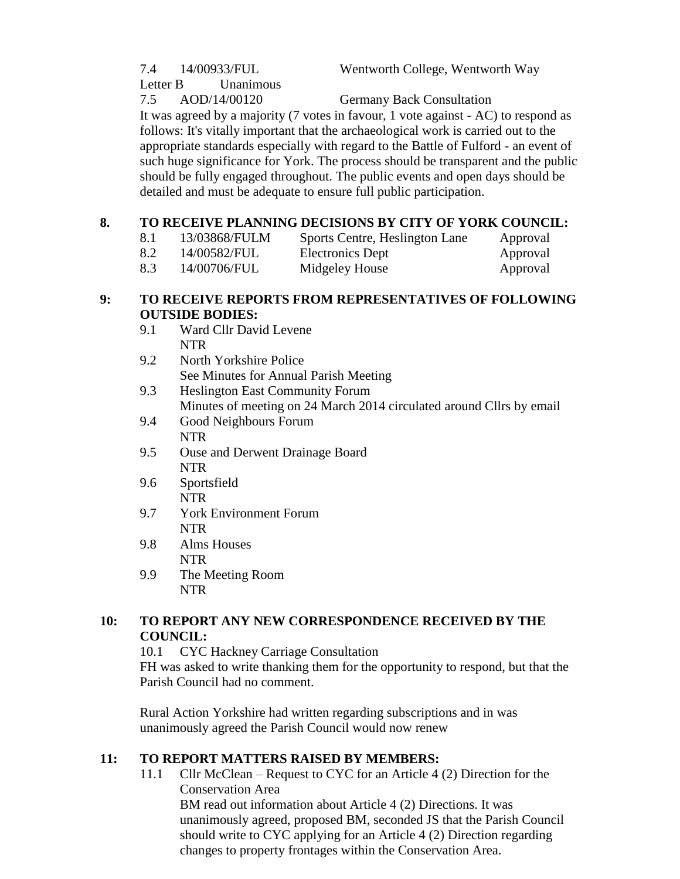Letter B Unanimous

7.4 14/00933/FUL Wentworth College, Wentworth Way

7.5 AOD/14/00120 Germany Back Consultation

It was agreed by a majority (7 votes in favour, 1 vote against - AC) to respond as follows: It's vitally important that the archaeological work is carried out to the appropriate standards especially with regard to the Battle of Fulford - an event of such huge significance for York. The process should be transparent and the public should be fully engaged throughout. The public events and open days should be detailed and must be adequate to ensure full public participation.

### **8. TO RECEIVE PLANNING DECISIONS BY CITY OF YORK COUNCIL:**

| 8.1 | 13/03868/FULM | Sports Centre, Heslington Lane | Approval |
|-----|---------------|--------------------------------|----------|
| 8.2 | 14/00582/FUL  | <b>Electronics</b> Dept        | Approval |

8.3 14/00706/FUL Midgeley House Approval

#### **9: TO RECEIVE REPORTS FROM REPRESENTATIVES OF FOLLOWING OUTSIDE BODIES:**

- 9.1 Ward Cllr David Levene NTR
- 9.2 North Yorkshire Police See Minutes for Annual Parish Meeting 9.3 Heslington East Community Forum
	- Minutes of meeting on 24 March 2014 circulated around Cllrs by email
- 9.4 Good Neighbours Forum NTR
- 9.5 Ouse and Derwent Drainage Board NTR
- 9.6 Sportsfield NTR
- 9.7 York Environment Forum NTR
- 9.8 Alms Houses NTR
- 9.9 The Meeting Room NTR

### **10: TO REPORT ANY NEW CORRESPONDENCE RECEIVED BY THE COUNCIL:**

10.1 CYC Hackney Carriage Consultation

FH was asked to write thanking them for the opportunity to respond, but that the Parish Council had no comment.

Rural Action Yorkshire had written regarding subscriptions and in was unanimously agreed the Parish Council would now renew

#### **11: TO REPORT MATTERS RAISED BY MEMBERS:**

11.1 Cllr McClean – Request to CYC for an Article 4 (2) Direction for the Conservation Area BM read out information about Article 4 (2) Directions. It was unanimously agreed, proposed BM, seconded JS that the Parish Council should write to CYC applying for an Article 4 (2) Direction regarding changes to property frontages within the Conservation Area.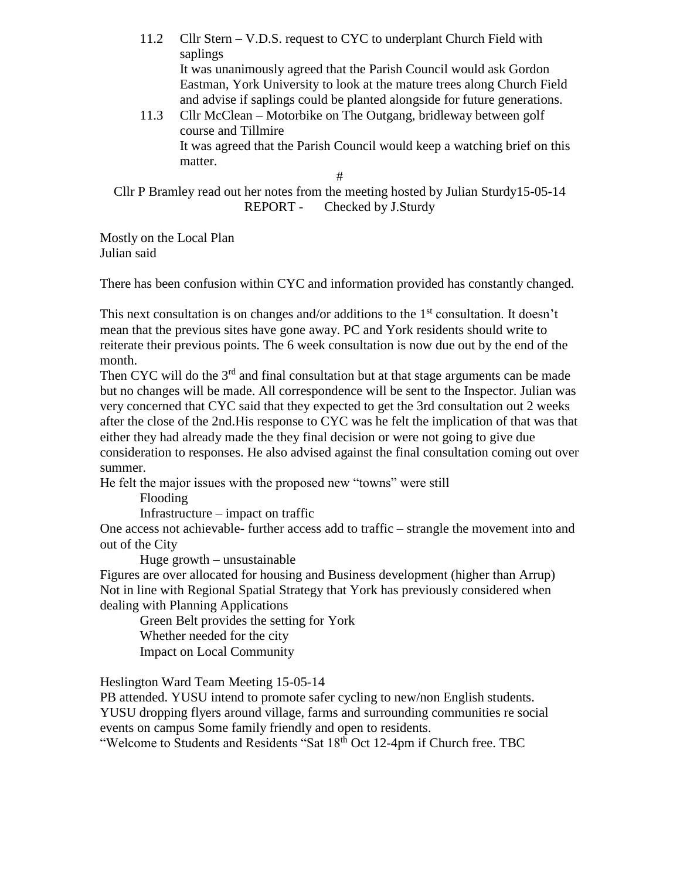11.2 Cllr Stern – V.D.S. request to CYC to underplant Church Field with saplings It was unanimously agreed that the Parish Council would ask Gordon Eastman, York University to look at the mature trees along Church Field and advise if saplings could be planted alongside for future generations. 11.3 Cllr McClean – Motorbike on The Outgang, bridleway between golf

course and Tillmire It was agreed that the Parish Council would keep a watching brief on this matter.

#

Cllr P Bramley read out her notes from the meeting hosted by Julian Sturdy15-05-14 REPORT - Checked by J.Sturdy

Mostly on the Local Plan Julian said

There has been confusion within CYC and information provided has constantly changed.

This next consultation is on changes and/or additions to the  $1<sup>st</sup>$  consultation. It doesn't mean that the previous sites have gone away. PC and York residents should write to reiterate their previous points. The 6 week consultation is now due out by the end of the month.

Then CYC will do the  $3<sup>rd</sup>$  and final consultation but at that stage arguments can be made but no changes will be made. All correspondence will be sent to the Inspector. Julian was very concerned that CYC said that they expected to get the 3rd consultation out 2 weeks after the close of the 2nd.His response to CYC was he felt the implication of that was that either they had already made the they final decision or were not going to give due consideration to responses. He also advised against the final consultation coming out over summer.

He felt the major issues with the proposed new "towns" were still

Flooding

Infrastructure – impact on traffic

One access not achievable- further access add to traffic – strangle the movement into and out of the City

Huge growth – unsustainable

Figures are over allocated for housing and Business development (higher than Arrup) Not in line with Regional Spatial Strategy that York has previously considered when dealing with Planning Applications

Green Belt provides the setting for York Whether needed for the city Impact on Local Community

Heslington Ward Team Meeting 15-05-14

PB attended. YUSU intend to promote safer cycling to new/non English students. YUSU dropping flyers around village, farms and surrounding communities re social events on campus Some family friendly and open to residents.

"Welcome to Students and Residents "Sat 18<sup>th</sup> Oct 12-4pm if Church free. TBC